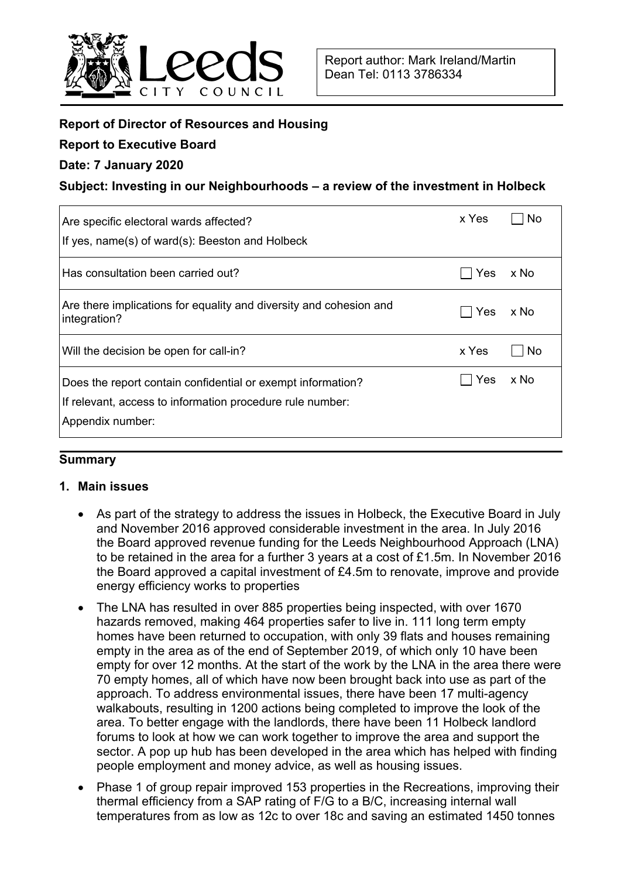

## **Report of Director of Resources and Housing**

### **Report to Executive Board**

## **Date: 7 January 2020**

## **Subject: Investing in our Neighbourhoods – a review of the investment in Holbeck**

| Are specific electoral wards affected?<br>If yes, name(s) of ward(s): Beeston and Holbeck                                                    | x Yes | No   |
|----------------------------------------------------------------------------------------------------------------------------------------------|-------|------|
| Has consultation been carried out?                                                                                                           | Yes   | x No |
| Are there implications for equality and diversity and cohesion and<br>integration?                                                           | Yes   | x No |
| Will the decision be open for call-in?                                                                                                       | x Yes | No.  |
| Does the report contain confidential or exempt information?<br>If relevant, access to information procedure rule number:<br>Appendix number: | Yes   | x No |

### **Summary**

### **1. Main issues**

- As part of the strategy to address the issues in Holbeck, the Executive Board in July and November 2016 approved considerable investment in the area. In July 2016 the Board approved revenue funding for the Leeds Neighbourhood Approach (LNA) to be retained in the area for a further 3 years at a cost of £1.5m. In November 2016 the Board approved a capital investment of £4.5m to renovate, improve and provide energy efficiency works to properties
- The LNA has resulted in over 885 properties being inspected, with over 1670 hazards removed, making 464 properties safer to live in. 111 long term empty homes have been returned to occupation, with only 39 flats and houses remaining empty in the area as of the end of September 2019, of which only 10 have been empty for over 12 months. At the start of the work by the LNA in the area there were 70 empty homes, all of which have now been brought back into use as part of the approach. To address environmental issues, there have been 17 multi-agency walkabouts, resulting in 1200 actions being completed to improve the look of the area. To better engage with the landlords, there have been 11 Holbeck landlord forums to look at how we can work together to improve the area and support the sector. A pop up hub has been developed in the area which has helped with finding people employment and money advice, as well as housing issues.
- Phase 1 of group repair improved 153 properties in the Recreations, improving their thermal efficiency from a SAP rating of F/G to a B/C, increasing internal wall temperatures from as low as 12c to over 18c and saving an estimated 1450 tonnes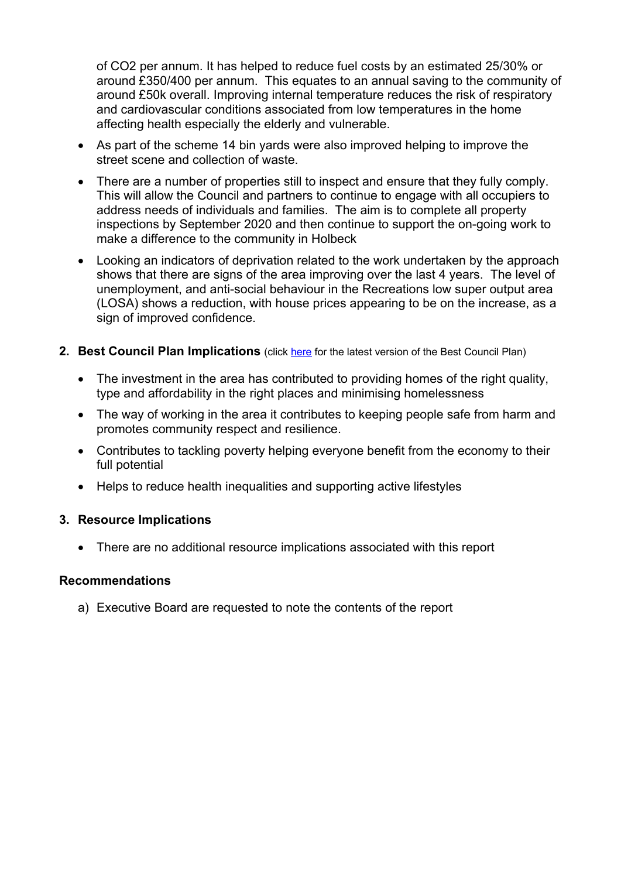of CO2 per annum. It has helped to reduce fuel costs by an estimated 25/30% or around £350/400 per annum. This equates to an annual saving to the community of around £50k overall. Improving internal temperature reduces the risk of respiratory and cardiovascular conditions associated from low temperatures in the home affecting health especially the elderly and vulnerable.

- As part of the scheme 14 bin yards were also improved helping to improve the street scene and collection of waste.
- There are a number of properties still to inspect and ensure that they fully comply. This will allow the Council and partners to continue to engage with all occupiers to address needs of individuals and families. The aim is to complete all property inspections by September 2020 and then continue to support the on-going work to make a difference to the community in Holbeck
- Looking an indicators of deprivation related to the work undertaken by the approach shows that there are signs of the area improving over the last 4 years. The level of unemployment, and anti-social behaviour in the Recreations low super output area (LOSA) shows a reduction, with house prices appearing to be on the increase, as a sign of improved confidence.
- **2. Best Council Plan Implications** (click here for the latest version of the Best Council Plan)
	- The investment in the area has contributed to providing homes of the right quality, type and affordability in the right places and minimising homelessness
	- The way of working in the area it contributes to keeping people safe from harm and promotes community respect and resilience.
	- Contributes to tackling poverty helping everyone benefit from the economy to their full potential
	- Helps to reduce health inequalities and supporting active lifestyles

### **3. Resource Implications**

• There are no additional resource implications associated with this report

#### **Recommendations**

a) Executive Board are requested to note the contents of the report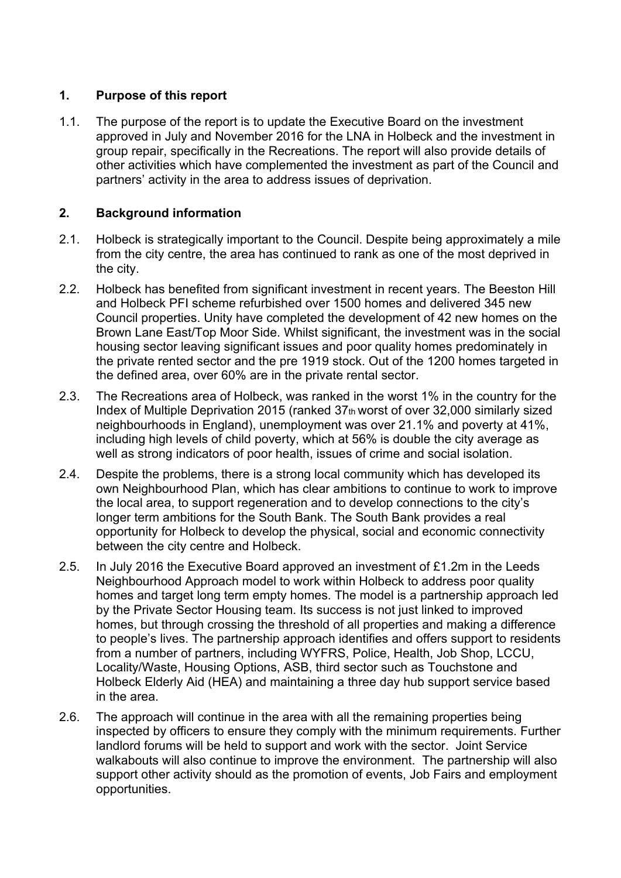## **1. Purpose of this report**

1.1. The purpose of the report is to update the Executive Board on the investment approved in July and November 2016 for the LNA in Holbeck and the investment in group repair, specifically in the Recreations. The report will also provide details of other activities which have complemented the investment as part of the Council and partners' activity in the area to address issues of deprivation.

## **2. Background information**

- 2.1. Holbeck is strategically important to the Council. Despite being approximately a mile from the city centre, the area has continued to rank as one of the most deprived in the city.
- 2.2. Holbeck has benefited from significant investment in recent years. The Beeston Hill and Holbeck PFI scheme refurbished over 1500 homes and delivered 345 new Council properties. Unity have completed the development of 42 new homes on the Brown Lane East/Top Moor Side. Whilst significant, the investment was in the social housing sector leaving significant issues and poor quality homes predominately in the private rented sector and the pre 1919 stock. Out of the 1200 homes targeted in the defined area, over 60% are in the private rental sector.
- 2.3. The Recreations area of Holbeck, was ranked in the worst 1% in the country for the Index of Multiple Deprivation 2015 (ranked 37th worst of over 32,000 similarly sized neighbourhoods in England), unemployment was over 21.1% and poverty at 41%, including high levels of child poverty, which at 56% is double the city average as well as strong indicators of poor health, issues of crime and social isolation.
- 2.4. Despite the problems, there is a strong local community which has developed its own Neighbourhood Plan, which has clear ambitions to continue to work to improve the local area, to support regeneration and to develop connections to the city's longer term ambitions for the South Bank. The South Bank provides a real opportunity for Holbeck to develop the physical, social and economic connectivity between the city centre and Holbeck.
- 2.5. In July 2016 the Executive Board approved an investment of £1.2m in the Leeds Neighbourhood Approach model to work within Holbeck to address poor quality homes and target long term empty homes. The model is a partnership approach led by the Private Sector Housing team. Its success is not just linked to improved homes, but through crossing the threshold of all properties and making a difference to people's lives. The partnership approach identifies and offers support to residents from a number of partners, including WYFRS, Police, Health, Job Shop, LCCU, Locality/Waste, Housing Options, ASB, third sector such as Touchstone and Holbeck Elderly Aid (HEA) and maintaining a three day hub support service based in the area.
- 2.6. The approach will continue in the area with all the remaining properties being inspected by officers to ensure they comply with the minimum requirements. Further landlord forums will be held to support and work with the sector. Joint Service walkabouts will also continue to improve the environment. The partnership will also support other activity should as the promotion of events, Job Fairs and employment opportunities.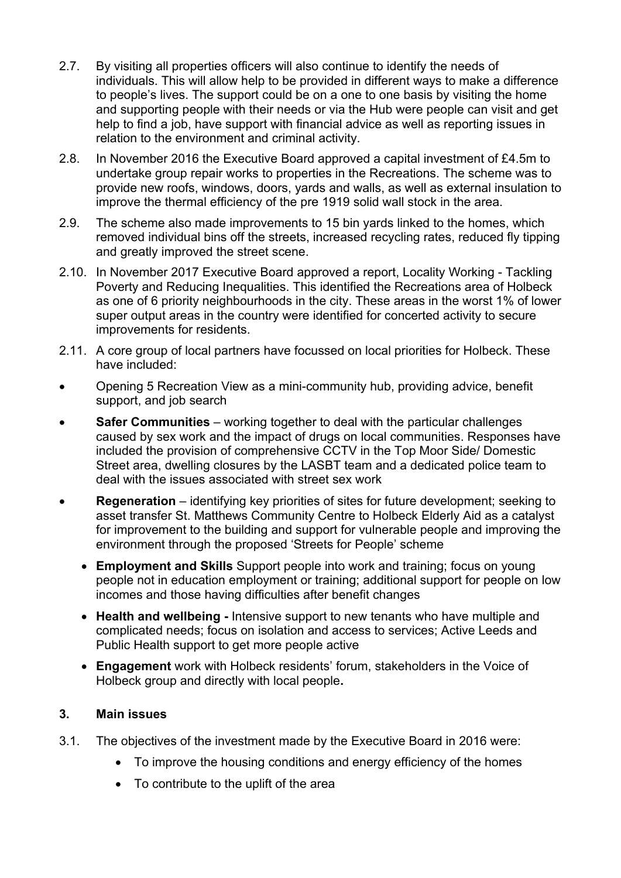- 2.7. By visiting all properties officers will also continue to identify the needs of individuals. This will allow help to be provided in different ways to make a difference to people's lives. The support could be on a one to one basis by visiting the home and supporting people with their needs or via the Hub were people can visit and get help to find a job, have support with financial advice as well as reporting issues in relation to the environment and criminal activity.
- 2.8. In November 2016 the Executive Board approved a capital investment of £4.5m to undertake group repair works to properties in the Recreations. The scheme was to provide new roofs, windows, doors, yards and walls, as well as external insulation to improve the thermal efficiency of the pre 1919 solid wall stock in the area.
- 2.9. The scheme also made improvements to 15 bin yards linked to the homes, which removed individual bins off the streets, increased recycling rates, reduced fly tipping and greatly improved the street scene.
- 2.10. In November 2017 Executive Board approved a report, Locality Working Tackling Poverty and Reducing Inequalities. This identified the Recreations area of Holbeck as one of 6 priority neighbourhoods in the city. These areas in the worst 1% of lower super output areas in the country were identified for concerted activity to secure improvements for residents.
- 2.11. A core group of local partners have focussed on local priorities for Holbeck. These have included:
- Opening 5 Recreation View as a mini-community hub, providing advice, benefit support, and job search
- **Safer Communities** working together to deal with the particular challenges caused by sex work and the impact of drugs on local communities. Responses have included the provision of comprehensive CCTV in the Top Moor Side/ Domestic Street area, dwelling closures by the LASBT team and a dedicated police team to deal with the issues associated with street sex work
- **Regeneration** identifying key priorities of sites for future development; seeking to asset transfer St. Matthews Community Centre to Holbeck Elderly Aid as a catalyst for improvement to the building and support for vulnerable people and improving the environment through the proposed 'Streets for People' scheme
	- **Employment and Skills** Support people into work and training; focus on young people not in education employment or training; additional support for people on low incomes and those having difficulties after benefit changes
	- **Health and wellbeing** Intensive support to new tenants who have multiple and complicated needs; focus on isolation and access to services; Active Leeds and Public Health support to get more people active
	- **Engagement** work with Holbeck residents' forum, stakeholders in the Voice of Holbeck group and directly with local people**.**

## **3. Main issues**

- 3.1. The objectives of the investment made by the Executive Board in 2016 were:
	- To improve the housing conditions and energy efficiency of the homes
	- To contribute to the uplift of the area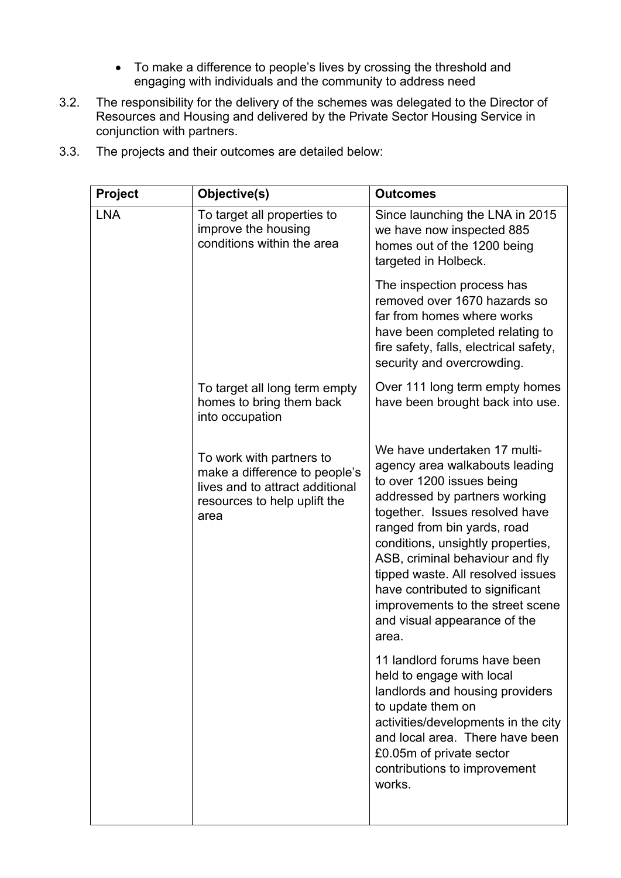- To make a difference to people's lives by crossing the threshold and engaging with individuals and the community to address need
- 3.2. The responsibility for the delivery of the schemes was delegated to the Director of Resources and Housing and delivered by the Private Sector Housing Service in conjunction with partners.

| Objective(s)                                                                                                                         | <b>Outcomes</b>                                                                                                                                                                                                                                                                                                                                                                                                            |
|--------------------------------------------------------------------------------------------------------------------------------------|----------------------------------------------------------------------------------------------------------------------------------------------------------------------------------------------------------------------------------------------------------------------------------------------------------------------------------------------------------------------------------------------------------------------------|
| To target all properties to<br>improve the housing<br>conditions within the area                                                     | Since launching the LNA in 2015<br>we have now inspected 885<br>homes out of the 1200 being<br>targeted in Holbeck.                                                                                                                                                                                                                                                                                                        |
|                                                                                                                                      | The inspection process has<br>removed over 1670 hazards so<br>far from homes where works<br>have been completed relating to<br>fire safety, falls, electrical safety,<br>security and overcrowding.                                                                                                                                                                                                                        |
| To target all long term empty<br>homes to bring them back<br>into occupation                                                         | Over 111 long term empty homes<br>have been brought back into use.                                                                                                                                                                                                                                                                                                                                                         |
| To work with partners to<br>make a difference to people's<br>lives and to attract additional<br>resources to help uplift the<br>area | We have undertaken 17 multi-<br>agency area walkabouts leading<br>to over 1200 issues being<br>addressed by partners working<br>together. Issues resolved have<br>ranged from bin yards, road<br>conditions, unsightly properties,<br>ASB, criminal behaviour and fly<br>tipped waste. All resolved issues<br>have contributed to significant<br>improvements to the street scene<br>and visual appearance of the<br>area. |
|                                                                                                                                      | 11 landlord forums have been<br>held to engage with local<br>landlords and housing providers<br>to update them on<br>activities/developments in the city<br>and local area. There have been<br>£0.05m of private sector<br>contributions to improvement<br>works.                                                                                                                                                          |
|                                                                                                                                      |                                                                                                                                                                                                                                                                                                                                                                                                                            |

3.3. The projects and their outcomes are detailed below: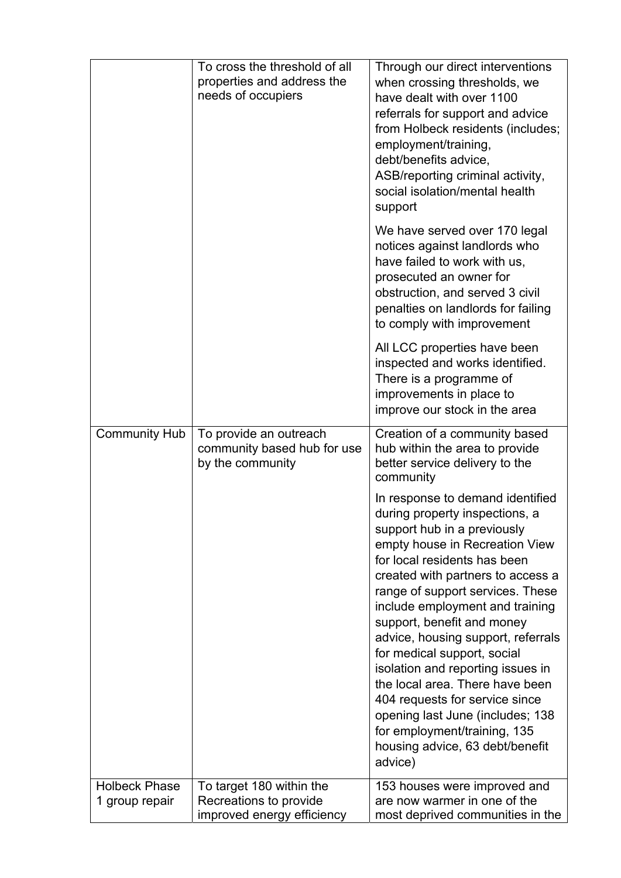|                                        | To cross the threshold of all<br>properties and address the<br>needs of occupiers | Through our direct interventions<br>when crossing thresholds, we<br>have dealt with over 1100<br>referrals for support and advice<br>from Holbeck residents (includes;<br>employment/training,<br>debt/benefits advice,<br>ASB/reporting criminal activity,<br>social isolation/mental health<br>support                                                                                                                                                                                                                                                                                                       |
|----------------------------------------|-----------------------------------------------------------------------------------|----------------------------------------------------------------------------------------------------------------------------------------------------------------------------------------------------------------------------------------------------------------------------------------------------------------------------------------------------------------------------------------------------------------------------------------------------------------------------------------------------------------------------------------------------------------------------------------------------------------|
|                                        |                                                                                   | We have served over 170 legal<br>notices against landlords who<br>have failed to work with us,<br>prosecuted an owner for<br>obstruction, and served 3 civil<br>penalties on landlords for failing<br>to comply with improvement                                                                                                                                                                                                                                                                                                                                                                               |
|                                        |                                                                                   | All LCC properties have been<br>inspected and works identified.<br>There is a programme of<br>improvements in place to<br>improve our stock in the area                                                                                                                                                                                                                                                                                                                                                                                                                                                        |
| <b>Community Hub</b>                   | To provide an outreach<br>community based hub for use<br>by the community         | Creation of a community based<br>hub within the area to provide<br>better service delivery to the<br>community                                                                                                                                                                                                                                                                                                                                                                                                                                                                                                 |
|                                        |                                                                                   | In response to demand identified<br>during property inspections, a<br>support hub in a previously<br>empty house in Recreation View<br>for local residents has been<br>created with partners to access a<br>range of support services. These<br>include employment and training<br>support, benefit and money<br>advice, housing support, referrals<br>for medical support, social<br>isolation and reporting issues in<br>the local area. There have been<br>404 requests for service since<br>opening last June (includes; 138<br>for employment/training, 135<br>housing advice, 63 debt/benefit<br>advice) |
| <b>Holbeck Phase</b><br>1 group repair | To target 180 within the<br>Recreations to provide<br>improved energy efficiency  | 153 houses were improved and<br>are now warmer in one of the<br>most deprived communities in the                                                                                                                                                                                                                                                                                                                                                                                                                                                                                                               |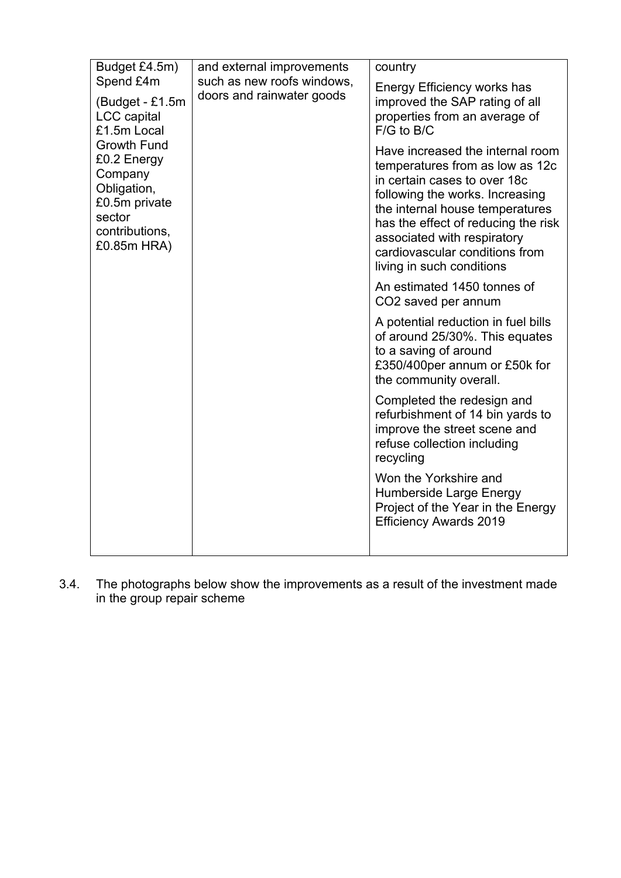| Budget £4.5m)                                                                                                                                                                                 | and external improvements                               | country                                                                                                                                                                                                                                                                                                        |
|-----------------------------------------------------------------------------------------------------------------------------------------------------------------------------------------------|---------------------------------------------------------|----------------------------------------------------------------------------------------------------------------------------------------------------------------------------------------------------------------------------------------------------------------------------------------------------------------|
| Spend £4m<br>(Budget - £1.5m)<br><b>LCC</b> capital<br>£1.5m Local<br><b>Growth Fund</b><br>£0.2 Energy<br>Company<br>Obligation,<br>£0.5m private<br>sector<br>contributions,<br>£0.85m HRA) | such as new roofs windows,<br>doors and rainwater goods | Energy Efficiency works has<br>improved the SAP rating of all<br>properties from an average of<br>$F/G$ to $B/C$                                                                                                                                                                                               |
|                                                                                                                                                                                               |                                                         | Have increased the internal room<br>temperatures from as low as 12c<br>in certain cases to over 18c<br>following the works. Increasing<br>the internal house temperatures<br>has the effect of reducing the risk<br>associated with respiratory<br>cardiovascular conditions from<br>living in such conditions |
|                                                                                                                                                                                               |                                                         | An estimated 1450 tonnes of<br>CO2 saved per annum                                                                                                                                                                                                                                                             |
|                                                                                                                                                                                               |                                                         | A potential reduction in fuel bills<br>of around 25/30%. This equates<br>to a saving of around<br>£350/400per annum or £50k for<br>the community overall.                                                                                                                                                      |
|                                                                                                                                                                                               |                                                         | Completed the redesign and<br>refurbishment of 14 bin yards to<br>improve the street scene and<br>refuse collection including<br>recycling                                                                                                                                                                     |
|                                                                                                                                                                                               |                                                         | Won the Yorkshire and<br>Humberside Large Energy<br>Project of the Year in the Energy<br><b>Efficiency Awards 2019</b>                                                                                                                                                                                         |
|                                                                                                                                                                                               |                                                         |                                                                                                                                                                                                                                                                                                                |

3.4. The photographs below show the improvements as a result of the investment made in the group repair scheme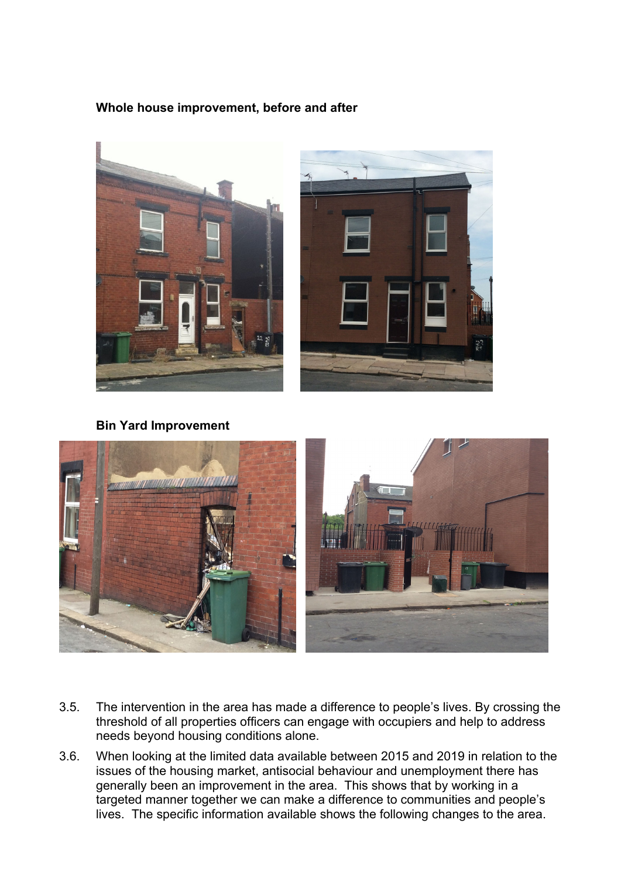## **Whole house improvement, before and after**



**Bin Yard Improvement** 



- 3.5. The intervention in the area has made a difference to people's lives. By crossing the threshold of all properties officers can engage with occupiers and help to address needs beyond housing conditions alone.
- 3.6. When looking at the limited data available between 2015 and 2019 in relation to the issues of the housing market, antisocial behaviour and unemployment there has generally been an improvement in the area. This shows that by working in a targeted manner together we can make a difference to communities and people's lives. The specific information available shows the following changes to the area.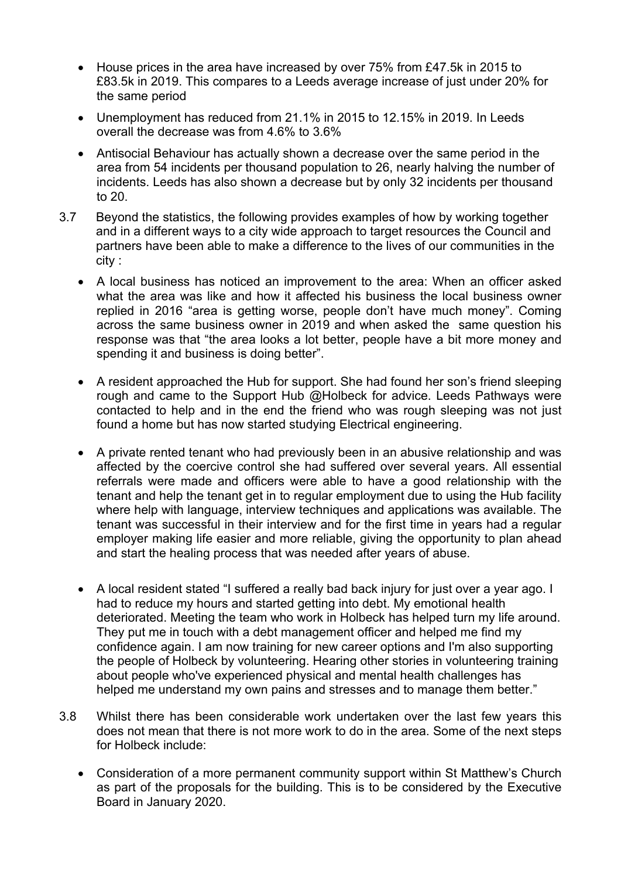- House prices in the area have increased by over 75% from £47.5k in 2015 to £83.5k in 2019. This compares to a Leeds average increase of just under 20% for the same period
- Unemployment has reduced from 21.1% in 2015 to 12.15% in 2019. In Leeds overall the decrease was from 4.6% to 3.6%
- Antisocial Behaviour has actually shown a decrease over the same period in the area from 54 incidents per thousand population to 26, nearly halving the number of incidents. Leeds has also shown a decrease but by only 32 incidents per thousand to 20.
- 3.7 Beyond the statistics, the following provides examples of how by working together and in a different ways to a city wide approach to target resources the Council and partners have been able to make a difference to the lives of our communities in the city :
	- A local business has noticed an improvement to the area: When an officer asked what the area was like and how it affected his business the local business owner replied in 2016 "area is getting worse, people don't have much money". Coming across the same business owner in 2019 and when asked the same question his response was that "the area looks a lot better, people have a bit more money and spending it and business is doing better".
	- A resident approached the Hub for support. She had found her son's friend sleeping rough and came to the Support Hub @Holbeck for advice. Leeds Pathways were contacted to help and in the end the friend who was rough sleeping was not just found a home but has now started studying Electrical engineering.
	- A private rented tenant who had previously been in an abusive relationship and was affected by the coercive control she had suffered over several years. All essential referrals were made and officers were able to have a good relationship with the tenant and help the tenant get in to regular employment due to using the Hub facility where help with language, interview techniques and applications was available. The tenant was successful in their interview and for the first time in years had a regular employer making life easier and more reliable, giving the opportunity to plan ahead and start the healing process that was needed after years of abuse.
	- A local resident stated "I suffered a really bad back injury for just over a year ago. I had to reduce my hours and started getting into debt. My emotional health deteriorated. Meeting the team who work in Holbeck has helped turn my life around. They put me in touch with a debt management officer and helped me find my confidence again. I am now training for new career options and I'm also supporting the people of Holbeck by volunteering. Hearing other stories in volunteering training about people who've experienced physical and mental health challenges has helped me understand my own pains and stresses and to manage them better."
- 3.8 Whilst there has been considerable work undertaken over the last few years this does not mean that there is not more work to do in the area. Some of the next steps for Holbeck include:
	- Consideration of a more permanent community support within St Matthew's Church as part of the proposals for the building. This is to be considered by the Executive Board in January 2020.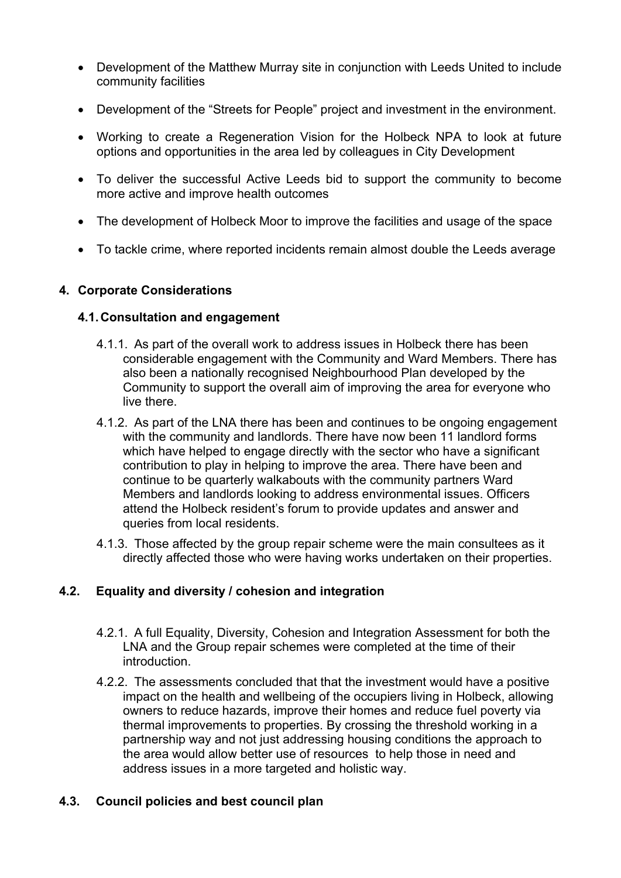- Development of the Matthew Murray site in conjunction with Leeds United to include community facilities
- Development of the "Streets for People" project and investment in the environment.
- Working to create a Regeneration Vision for the Holbeck NPA to look at future options and opportunities in the area led by colleagues in City Development
- To deliver the successful Active Leeds bid to support the community to become more active and improve health outcomes
- The development of Holbeck Moor to improve the facilities and usage of the space
- To tackle crime, where reported incidents remain almost double the Leeds average

### **4. Corporate Considerations**

### **4.1. Consultation and engagement**

- 4.1.1. As part of the overall work to address issues in Holbeck there has been considerable engagement with the Community and Ward Members. There has also been a nationally recognised Neighbourhood Plan developed by the Community to support the overall aim of improving the area for everyone who live there.
- 4.1.2. As part of the LNA there has been and continues to be ongoing engagement with the community and landlords. There have now been 11 landlord forms which have helped to engage directly with the sector who have a significant contribution to play in helping to improve the area. There have been and continue to be quarterly walkabouts with the community partners Ward Members and landlords looking to address environmental issues. Officers attend the Holbeck resident's forum to provide updates and answer and queries from local residents.
- 4.1.3. Those affected by the group repair scheme were the main consultees as it directly affected those who were having works undertaken on their properties.

## **4.2. Equality and diversity / cohesion and integration**

- 4.2.1. A full Equality, Diversity, Cohesion and Integration Assessment for both the LNA and the Group repair schemes were completed at the time of their introduction.
- 4.2.2. The assessments concluded that that the investment would have a positive impact on the health and wellbeing of the occupiers living in Holbeck, allowing owners to reduce hazards, improve their homes and reduce fuel poverty via thermal improvements to properties. By crossing the threshold working in a partnership way and not just addressing housing conditions the approach to the area would allow better use of resources to help those in need and address issues in a more targeted and holistic way.

### **4.3. Council policies and best council plan**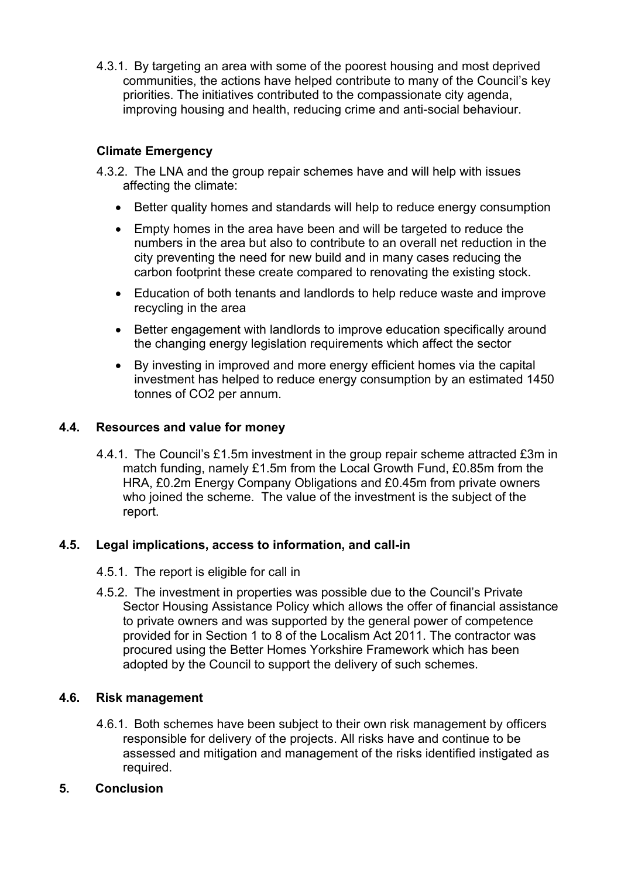4.3.1. By targeting an area with some of the poorest housing and most deprived communities, the actions have helped contribute to many of the Council's key priorities. The initiatives contributed to the compassionate city agenda, improving housing and health, reducing crime and anti-social behaviour.

# **Climate Emergency**

- 4.3.2. The LNA and the group repair schemes have and will help with issues affecting the climate:
	- Better quality homes and standards will help to reduce energy consumption
	- Empty homes in the area have been and will be targeted to reduce the numbers in the area but also to contribute to an overall net reduction in the city preventing the need for new build and in many cases reducing the carbon footprint these create compared to renovating the existing stock.
	- Education of both tenants and landlords to help reduce waste and improve recycling in the area
	- Better engagement with landlords to improve education specifically around the changing energy legislation requirements which affect the sector
	- By investing in improved and more energy efficient homes via the capital investment has helped to reduce energy consumption by an estimated 1450 tonnes of CO2 per annum.

### **4.4. Resources and value for money**

4.4.1. The Council's £1.5m investment in the group repair scheme attracted £3m in match funding, namely £1.5m from the Local Growth Fund, £0.85m from the HRA, £0.2m Energy Company Obligations and £0.45m from private owners who joined the scheme. The value of the investment is the subject of the report.

## **4.5. Legal implications, access to information, and call-in**

- 4.5.1. The report is eligible for call in
- 4.5.2. The investment in properties was possible due to the Council's Private Sector Housing Assistance Policy which allows the offer of financial assistance to private owners and was supported by the general power of competence provided for in Section 1 to 8 of the Localism Act 2011. The contractor was procured using the Better Homes Yorkshire Framework which has been adopted by the Council to support the delivery of such schemes.

## **4.6. Risk management**

4.6.1. Both schemes have been subject to their own risk management by officers responsible for delivery of the projects. All risks have and continue to be assessed and mitigation and management of the risks identified instigated as required.

### **5. Conclusion**